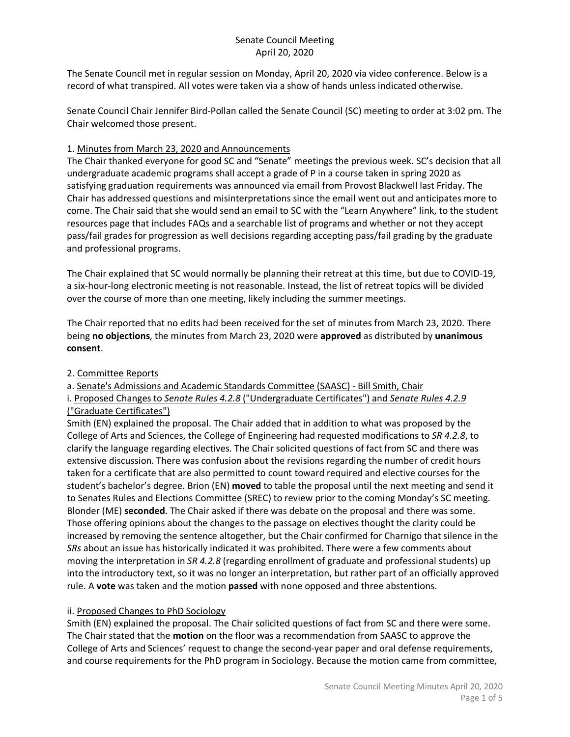The Senate Council met in regular session on Monday, April 20, 2020 via video conference. Below is a record of what transpired. All votes were taken via a show of hands unless indicated otherwise.

Senate Council Chair Jennifer Bird-Pollan called the Senate Council (SC) meeting to order at 3:02 pm. The Chair welcomed those present.

## 1. Minutes from March 23, 2020 and Announcements

The Chair thanked everyone for good SC and "Senate" meetings the previous week. SC's decision that all undergraduate academic programs shall accept a grade of P in a course taken in spring 2020 as satisfying graduation requirements was announced via email from Provost Blackwell last Friday. The Chair has addressed questions and misinterpretations since the email went out and anticipates more to come. The Chair said that she would send an email to SC with the "Learn Anywhere" link, to the student resources page that includes FAQs and a searchable list of programs and whether or not they accept pass/fail grades for progression as well decisions regarding accepting pass/fail grading by the graduate and professional programs.

The Chair explained that SC would normally be planning their retreat at this time, but due to COVID-19, a six-hour-long electronic meeting is not reasonable. Instead, the list of retreat topics will be divided over the course of more than one meeting, likely including the summer meetings.

The Chair reported that no edits had been received for the set of minutes from March 23, 2020. There being **no objections**, the minutes from March 23, 2020 were **approved** as distributed by **unanimous consent**.

## 2. Committee Reports

a. Senate's Admissions and Academic Standards Committee (SAASC) - Bill Smith, Chair

i. Proposed Changes to *Senate Rules 4.2.8* ("Undergraduate Certificates") and *Senate Rules 4.2.9* ("Graduate Certificates")

Smith (EN) explained the proposal. The Chair added that in addition to what was proposed by the College of Arts and Sciences, the College of Engineering had requested modifications to *SR 4.2.8*, to clarify the language regarding electives. The Chair solicited questions of fact from SC and there was extensive discussion. There was confusion about the revisions regarding the number of credit hours taken for a certificate that are also permitted to count toward required and elective courses for the student's bachelor's degree. Brion (EN) **moved** to table the proposal until the next meeting and send it to Senates Rules and Elections Committee (SREC) to review prior to the coming Monday's SC meeting. Blonder (ME) **seconded**. The Chair asked if there was debate on the proposal and there was some. Those offering opinions about the changes to the passage on electives thought the clarity could be increased by removing the sentence altogether, but the Chair confirmed for Charnigo that silence in the *SRs* about an issue has historically indicated it was prohibited. There were a few comments about moving the interpretation in *SR 4.2.8* (regarding enrollment of graduate and professional students) up into the introductory text, so it was no longer an interpretation, but rather part of an officially approved rule. A **vote** was taken and the motion **passed** with none opposed and three abstentions.

## ii. Proposed Changes to PhD Sociology

Smith (EN) explained the proposal. The Chair solicited questions of fact from SC and there were some. The Chair stated that the **motion** on the floor was a recommendation from SAASC to approve the College of Arts and Sciences' request to change the second-year paper and oral defense requirements, and course requirements for the PhD program in Sociology. Because the motion came from committee,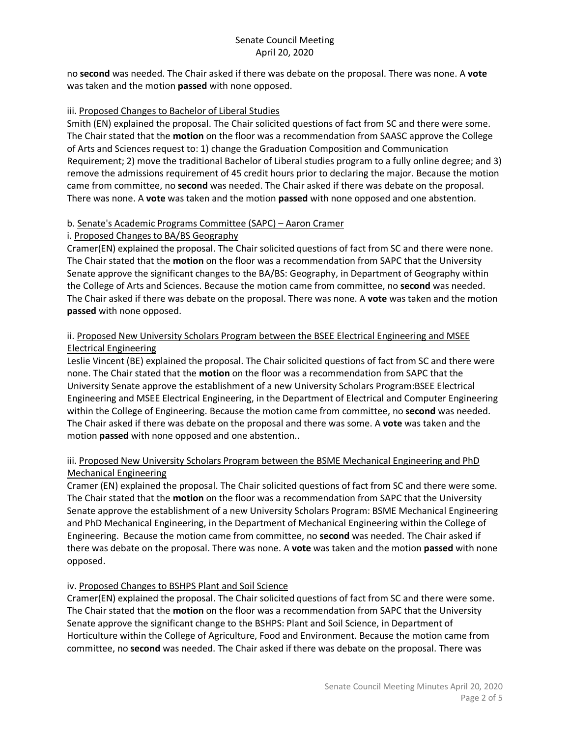no **second** was needed. The Chair asked if there was debate on the proposal. There was none. A **vote** was taken and the motion **passed** with none opposed.

#### iii. Proposed Changes to Bachelor of Liberal Studies

Smith (EN) explained the proposal. The Chair solicited questions of fact from SC and there were some. The Chair stated that the **motion** on the floor was a recommendation from SAASC approve the College of Arts and Sciences request to: 1) change the Graduation Composition and Communication Requirement; 2) move the traditional Bachelor of Liberal studies program to a fully online degree; and 3) remove the admissions requirement of 45 credit hours prior to declaring the major. Because the motion came from committee, no **second** was needed. The Chair asked if there was debate on the proposal. There was none. A **vote** was taken and the motion **passed** with none opposed and one abstention.

## b. Senate's Academic Programs Committee (SAPC) – Aaron Cramer

## i. Proposed Changes to BA/BS Geography

Cramer(EN) explained the proposal. The Chair solicited questions of fact from SC and there were none. The Chair stated that the **motion** on the floor was a recommendation from SAPC that the University Senate approve the significant changes to the BA/BS: Geography, in Department of Geography within the College of Arts and Sciences. Because the motion came from committee, no **second** was needed. The Chair asked if there was debate on the proposal. There was none. A **vote** was taken and the motion **passed** with none opposed.

## ii. Proposed New University Scholars Program between the BSEE Electrical Engineering and MSEE Electrical Engineering

Leslie Vincent (BE) explained the proposal. The Chair solicited questions of fact from SC and there were none. The Chair stated that the **motion** on the floor was a recommendation from SAPC that the University Senate approve the establishment of a new University Scholars Program:BSEE Electrical Engineering and MSEE Electrical Engineering, in the Department of Electrical and Computer Engineering within the College of Engineering. Because the motion came from committee, no **second** was needed. The Chair asked if there was debate on the proposal and there was some. A **vote** was taken and the motion **passed** with none opposed and one abstention..

## iii. Proposed New University Scholars Program between the BSME Mechanical Engineering and PhD Mechanical Engineering

Cramer (EN) explained the proposal. The Chair solicited questions of fact from SC and there were some. The Chair stated that the **motion** on the floor was a recommendation from SAPC that the University Senate approve the establishment of a new University Scholars Program: BSME Mechanical Engineering and PhD Mechanical Engineering, in the Department of Mechanical Engineering within the College of Engineering. Because the motion came from committee, no **second** was needed. The Chair asked if there was debate on the proposal. There was none. A **vote** was taken and the motion **passed** with none opposed.

## iv. Proposed Changes to BSHPS Plant and Soil Science

Cramer(EN) explained the proposal. The Chair solicited questions of fact from SC and there were some. The Chair stated that the **motion** on the floor was a recommendation from SAPC that the University Senate approve the significant change to the BSHPS: Plant and Soil Science, in Department of Horticulture within the College of Agriculture, Food and Environment. Because the motion came from committee, no **second** was needed. The Chair asked if there was debate on the proposal. There was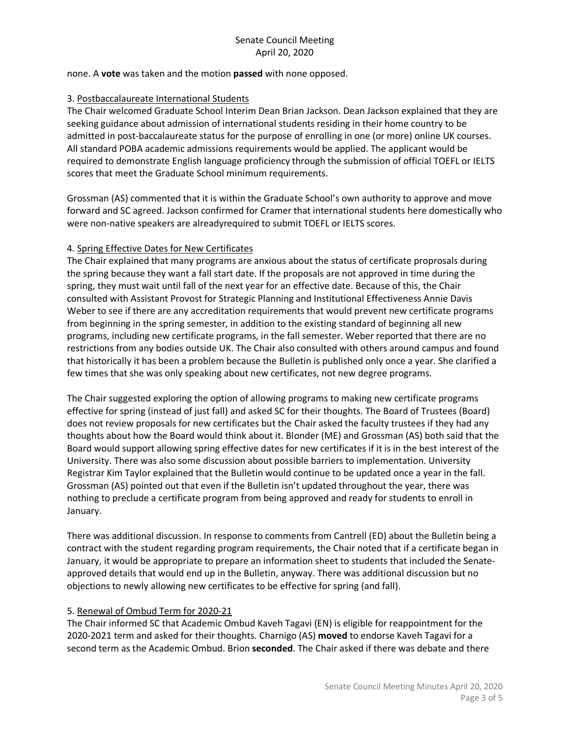#### none. A **vote** was taken and the motion **passed** with none opposed.

#### 3. Postbaccalaureate International Students

The Chair welcomed Graduate School Interim Dean Brian Jackson. Dean Jackson explained that they are seeking guidance about admission of international students residing in their home country to be admitted in post-baccalaureate status for the purpose of enrolling in one (or more) online UK courses. All standard POBA academic admissions requirements would be applied. The applicant would be required to demonstrate English language proficiency through the submission of official TOEFL or IELTS scores that meet the Graduate School minimum requirements.

Grossman (AS) commented that it is within the Graduate School's own authority to approve and move forward and SC agreed. Jackson confirmed for Cramer that international students here domestically who were non-native speakers are alreadyrequired to submit TOEFL or IELTS scores.

#### 4. Spring Effective Dates for New Certificates

The Chair explained that many programs are anxious about the status of certificate proprosals during the spring because they want a fall start date. If the proposals are not approved in time during the spring, they must wait until fall of the next year for an effective date. Because of this, the Chair consulted with Assistant Provost for Strategic Planning and Institutional Effectiveness Annie Davis Weber to see if there are any accreditation requirements that would prevent new certificate programs from beginning in the spring semester, in addition to the existing standard of beginning all new programs, including new certificate programs, in the fall semester. Weber reported that there are no restrictions from any bodies outside UK. The Chair also consulted with others around campus and found that historically it has been a problem because the Bulletin is published only once a year. She clarified a few times that she was only speaking about new certificates, not new degree programs.

The Chair suggested exploring the option of allowing programs to making new certificate programs effective for spring (instead of just fall) and asked SC for their thoughts. The Board of Trustees (Board) does not review proposals for new certificates but the Chair asked the faculty trustees if they had any thoughts about how the Board would think about it. Blonder (ME) and Grossman (AS) both said that the Board would support allowing spring effective dates for new certificates if it is in the best interest of the University. There was also some discussion about possible barriers to implementation. University Registrar Kim Taylor explained that the Bulletin would continue to be updated once a year in the fall. Grossman (AS) pointed out that even if the Bulletin isn't updated throughout the year, there was nothing to preclude a certificate program from being approved and ready for students to enroll in January.

There was additional discussion. In response to comments from Cantrell (ED) about the Bulletin being a contract with the student regarding program requirements, the Chair noted that if a certificate began in January, it would be appropriate to prepare an information sheet to students that included the Senateapproved details that would end up in the Bulletin, anyway. There was additional discussion but no objections to newly allowing new certificates to be effective for spring (and fall).

#### 5. Renewal of Ombud Term for 2020-21

The Chair informed SC that Academic Ombud Kaveh Tagavi (EN) is eligible for reappointment for the 2020-2021 term and asked for their thoughts. Charnigo (AS) **moved** to endorse Kaveh Tagavi for a second term as the Academic Ombud. Brion **seconded**. The Chair asked if there was debate and there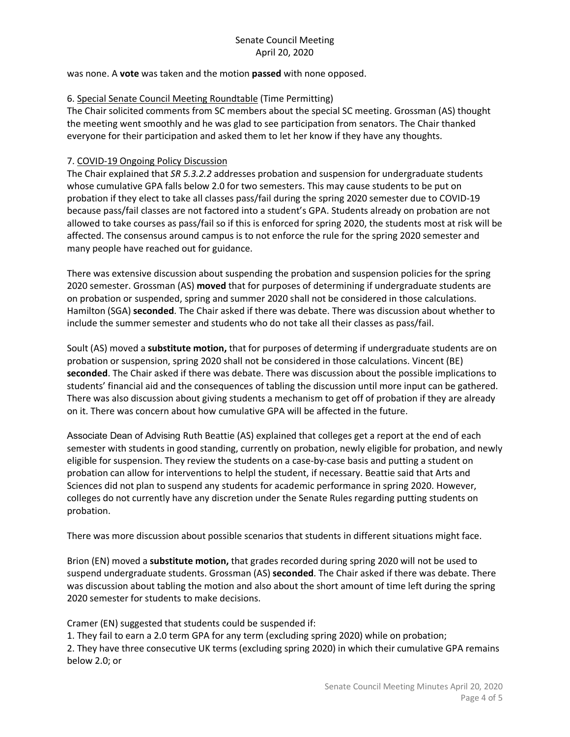was none. A **vote** was taken and the motion **passed** with none opposed.

#### 6. Special Senate Council Meeting Roundtable (Time Permitting)

The Chair solicited comments from SC members about the special SC meeting. Grossman (AS) thought the meeting went smoothly and he was glad to see participation from senators. The Chair thanked everyone for their participation and asked them to let her know if they have any thoughts.

#### 7. COVID-19 Ongoing Policy Discussion

The Chair explained that *SR 5.3.2.2* addresses probation and suspension for undergraduate students whose cumulative GPA falls below 2.0 for two semesters. This may cause students to be put on probation if they elect to take all classes pass/fail during the spring 2020 semester due to COVID-19 because pass/fail classes are not factored into a student's GPA. Students already on probation are not allowed to take courses as pass/fail so if this is enforced for spring 2020, the students most at risk will be affected. The consensus around campus is to not enforce the rule for the spring 2020 semester and many people have reached out for guidance.

There was extensive discussion about suspending the probation and suspension policies for the spring 2020 semester. Grossman (AS) **moved** that for purposes of determining if undergraduate students are on probation or suspended, spring and summer 2020 shall not be considered in those calculations. Hamilton (SGA) **seconded**. The Chair asked if there was debate. There was discussion about whether to include the summer semester and students who do not take all their classes as pass/fail.

Soult (AS) moved a **substitute motion,** that for purposes of determing if undergraduate students are on probation or suspension, spring 2020 shall not be considered in those calculations. Vincent (BE) **seconded**. The Chair asked if there was debate. There was discussion about the possible implications to students' financial aid and the consequences of tabling the discussion until more input can be gathered. There was also discussion about giving students a mechanism to get off of probation if they are already on it. There was concern about how cumulative GPA will be affected in the future.

Associate Dean of Advising Ruth Beattie (AS) explained that colleges get a report at the end of each semester with students in good standing, currently on probation, newly eligible for probation, and newly eligible for suspension. They review the students on a case-by-case basis and putting a student on probation can allow for interventions to helpl the student, if necessary. Beattie said that Arts and Sciences did not plan to suspend any students for academic performance in spring 2020. However, colleges do not currently have any discretion under the Senate Rules regarding putting students on probation.

There was more discussion about possible scenarios that students in different situations might face.

Brion (EN) moved a **substitute motion,** that grades recorded during spring 2020 will not be used to suspend undergraduate students. Grossman (AS) **seconded**. The Chair asked if there was debate. There was discussion about tabling the motion and also about the short amount of time left during the spring 2020 semester for students to make decisions.

Cramer (EN) suggested that students could be suspended if:

1. They fail to earn a 2.0 term GPA for any term (excluding spring 2020) while on probation;

2. They have three consecutive UK terms (excluding spring 2020) in which their cumulative GPA remains below 2.0; or